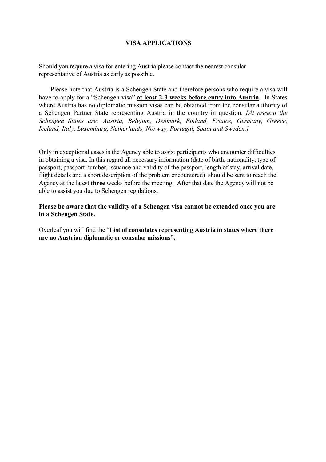## **VISA APPLICATIONS**

Should you require a visa for entering Austria please contact the nearest consular representative of Austria as early as possible.

Please note that Austria is a Schengen State and therefore persons who require a visa will have to apply for a "Schengen visa" **at least 2-3 weeks before entry into Austria.** In States where Austria has no diplomatic mission visas can be obtained from the consular authority of a Schengen Partner State representing Austria in the country in question. *[At present the Schengen States are: Austria, Belgium, Denmark, Finland, France, Germany, Greece, Iceland, Italy, Luxemburg, Netherlands, Norway, Portugal, Spain and Sweden.]* 

Only in exceptional cases is the Agency able to assist participants who encounter difficulties in obtaining a visa. In this regard all necessary information (date of birth, nationality, type of passport, passport number, issuance and validity of the passport, length of stay, arrival date, flight details and a short description of the problem encountered) should be sent to reach the Agency at the latest **three** weeks before the meeting. After that date the Agency will not be able to assist you due to Schengen regulations.

**Please be aware that the validity of a Schengen visa cannot be extended once you are in a Schengen State.** 

Overleaf you will find the "**List of consulates representing Austria in states where there are no Austrian diplomatic or consular missions".**